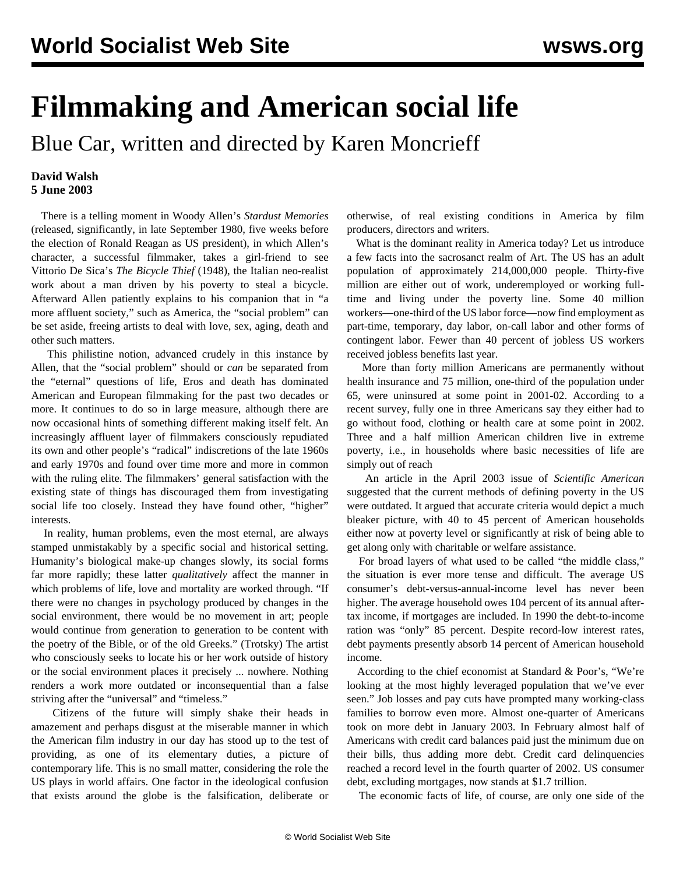## **Filmmaking and American social life**

Blue Car, written and directed by Karen Moncrieff

## **David Walsh 5 June 2003**

 There is a telling moment in Woody Allen's *Stardust Memories* (released, significantly, in late September 1980, five weeks before the election of Ronald Reagan as US president), in which Allen's character, a successful filmmaker, takes a girl-friend to see Vittorio De Sica's *The Bicycle Thief* (1948), the Italian neo-realist work about a man driven by his poverty to steal a bicycle. Afterward Allen patiently explains to his companion that in "a more affluent society," such as America, the "social problem" can be set aside, freeing artists to deal with love, sex, aging, death and other such matters.

 This philistine notion, advanced crudely in this instance by Allen, that the "social problem" should or *can* be separated from the "eternal" questions of life, Eros and death has dominated American and European filmmaking for the past two decades or more. It continues to do so in large measure, although there are now occasional hints of something different making itself felt. An increasingly affluent layer of filmmakers consciously repudiated its own and other people's "radical" indiscretions of the late 1960s and early 1970s and found over time more and more in common with the ruling elite. The filmmakers' general satisfaction with the existing state of things has discouraged them from investigating social life too closely. Instead they have found other, "higher" interests.

 In reality, human problems, even the most eternal, are always stamped unmistakably by a specific social and historical setting. Humanity's biological make-up changes slowly, its social forms far more rapidly; these latter *qualitatively* affect the manner in which problems of life, love and mortality are worked through. "If there were no changes in psychology produced by changes in the social environment, there would be no movement in art; people would continue from generation to generation to be content with the poetry of the Bible, or of the old Greeks." (Trotsky) The artist who consciously seeks to locate his or her work outside of history or the social environment places it precisely ... nowhere. Nothing renders a work more outdated or inconsequential than a false striving after the "universal" and "timeless."

 Citizens of the future will simply shake their heads in amazement and perhaps disgust at the miserable manner in which the American film industry in our day has stood up to the test of providing, as one of its elementary duties, a picture of contemporary life. This is no small matter, considering the role the US plays in world affairs. One factor in the ideological confusion that exists around the globe is the falsification, deliberate or

otherwise, of real existing conditions in America by film producers, directors and writers.

 What is the dominant reality in America today? Let us introduce a few facts into the sacrosanct realm of Art. The US has an adult population of approximately 214,000,000 people. Thirty-five million are either out of work, underemployed or working fulltime and living under the poverty line. Some 40 million workers—one-third of the US labor force—now find employment as part-time, temporary, day labor, on-call labor and other forms of contingent labor. Fewer than 40 percent of jobless US workers received jobless benefits last year.

 More than forty million Americans are permanently without health insurance and 75 million, one-third of the population under 65, were uninsured at some point in 2001-02. According to a recent survey, fully one in three Americans say they either had to go without food, clothing or health care at some point in 2002. Three and a half million American children live in extreme poverty, i.e., in households where basic necessities of life are simply out of reach

 An article in the April 2003 issue of *Scientific American* suggested that the current methods of defining poverty in the US were outdated. It argued that accurate criteria would depict a much bleaker picture, with 40 to 45 percent of American households either now at poverty level or significantly at risk of being able to get along only with charitable or welfare assistance.

 For broad layers of what used to be called "the middle class," the situation is ever more tense and difficult. The average US consumer's debt-versus-annual-income level has never been higher. The average household owes 104 percent of its annual aftertax income, if mortgages are included. In 1990 the debt-to-income ration was "only" 85 percent. Despite record-low interest rates, debt payments presently absorb 14 percent of American household income.

 According to the chief economist at Standard & Poor's, "We're looking at the most highly leveraged population that we've ever seen." Job losses and pay cuts have prompted many working-class families to borrow even more. Almost one-quarter of Americans took on more debt in January 2003. In February almost half of Americans with credit card balances paid just the minimum due on their bills, thus adding more debt. Credit card delinquencies reached a record level in the fourth quarter of 2002. US consumer debt, excluding mortgages, now stands at \$1.7 trillion.

The economic facts of life, of course, are only one side of the